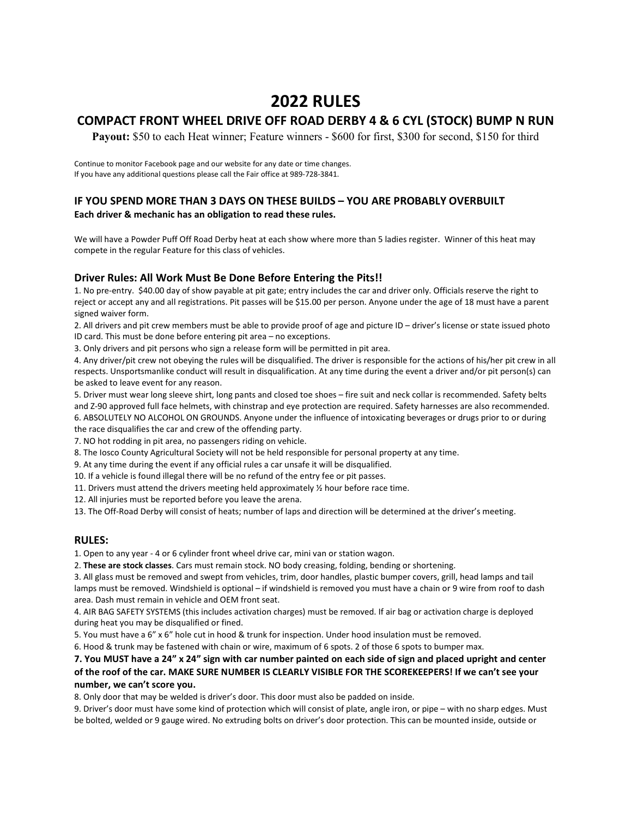# 2022 RULES

## COMPACT FRONT WHEEL DRIVE OFF ROAD DERBY 4 & 6 CYL (STOCK) BUMP N RUN

Payout: \$50 to each Heat winner; Feature winners - \$600 for first, \$300 for second, \$150 for third

Continue to monitor Facebook page and our website for any date or time changes. If you have any additional questions please call the Fair office at 989-728-3841.

### IF YOU SPEND MORE THAN 3 DAYS ON THESE BUILDS – YOU ARE PROBABLY OVERBUILT Each driver & mechanic has an obligation to read these rules.

We will have a Powder Puff Off Road Derby heat at each show where more than 5 ladies register. Winner of this heat may compete in the regular Feature for this class of vehicles.

### Driver Rules: All Work Must Be Done Before Entering the Pits!!

1. No pre-entry. \$40.00 day of show payable at pit gate; entry includes the car and driver only. Officials reserve the right to reject or accept any and all registrations. Pit passes will be \$15.00 per person. Anyone under the age of 18 must have a parent signed waiver form.

2. All drivers and pit crew members must be able to provide proof of age and picture ID – driver's license or state issued photo ID card. This must be done before entering pit area – no exceptions.

3. Only drivers and pit persons who sign a release form will be permitted in pit area.

4. Any driver/pit crew not obeying the rules will be disqualified. The driver is responsible for the actions of his/her pit crew in all respects. Unsportsmanlike conduct will result in disqualification. At any time during the event a driver and/or pit person(s) can be asked to leave event for any reason.

5. Driver must wear long sleeve shirt, long pants and closed toe shoes – fire suit and neck collar is recommended. Safety belts and Z-90 approved full face helmets, with chinstrap and eye protection are required. Safety harnesses are also recommended. 6. ABSOLUTELY NO ALCOHOL ON GROUNDS. Anyone under the influence of intoxicating beverages or drugs prior to or during

the race disqualifies the car and crew of the offending party.

7. NO hot rodding in pit area, no passengers riding on vehicle.

8. The Iosco County Agricultural Society will not be held responsible for personal property at any time.

9. At any time during the event if any official rules a car unsafe it will be disqualified.

10. If a vehicle is found illegal there will be no refund of the entry fee or pit passes.

11. Drivers must attend the drivers meeting held approximately  $\frac{1}{2}$  hour before race time.

12. All injuries must be reported before you leave the arena.

13. The Off-Road Derby will consist of heats; number of laps and direction will be determined at the driver's meeting.

#### RULES:

1. Open to any year - 4 or 6 cylinder front wheel drive car, mini van or station wagon.

2. These are stock classes. Cars must remain stock. NO body creasing, folding, bending or shortening.

3. All glass must be removed and swept from vehicles, trim, door handles, plastic bumper covers, grill, head lamps and tail lamps must be removed. Windshield is optional – if windshield is removed you must have a chain or 9 wire from roof to dash area. Dash must remain in vehicle and OEM front seat.

4. AIR BAG SAFETY SYSTEMS (this includes activation charges) must be removed. If air bag or activation charge is deployed during heat you may be disqualified or fined.

5. You must have a 6" x 6" hole cut in hood & trunk for inspection. Under hood insulation must be removed.

6. Hood & trunk may be fastened with chain or wire, maximum of 6 spots. 2 of those 6 spots to bumper max.

#### 7. You MUST have a 24" x 24" sign with car number painted on each side of sign and placed upright and center of the roof of the car. MAKE SURE NUMBER IS CLEARLY VISIBLE FOR THE SCOREKEEPERS! If we can't see your number, we can't score you.

8. Only door that may be welded is driver's door. This door must also be padded on inside.

9. Driver's door must have some kind of protection which will consist of plate, angle iron, or pipe – with no sharp edges. Must be bolted, welded or 9 gauge wired. No extruding bolts on driver's door protection. This can be mounted inside, outside or